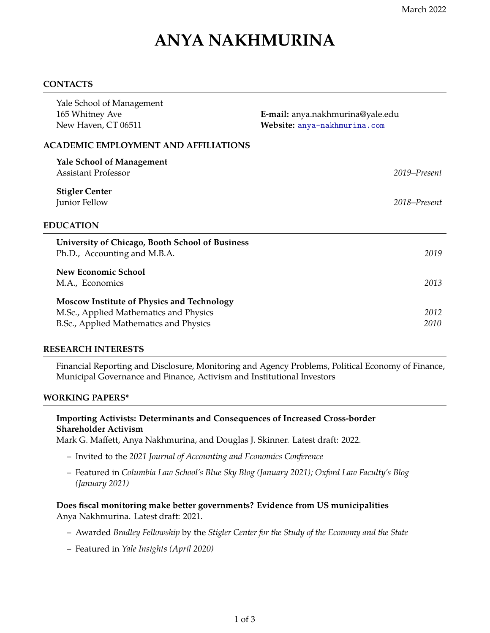# **ANYA NAKHMURINA**

### **CONTACTS**

| Yale School of Management<br>165 Whitney Ave<br>New Haven, CT 06511                                                            | E-mail: anya.nakhmurina@yale.edu<br>Website: anya-nakhmurina.com |
|--------------------------------------------------------------------------------------------------------------------------------|------------------------------------------------------------------|
| <b>ACADEMIC EMPLOYMENT AND AFFILIATIONS</b>                                                                                    |                                                                  |
| <b>Yale School of Management</b><br><b>Assistant Professor</b>                                                                 | 2019–Present                                                     |
| <b>Stigler Center</b><br>Junior Fellow                                                                                         | 2018–Present                                                     |
| <b>EDUCATION</b>                                                                                                               |                                                                  |
| <b>University of Chicago, Booth School of Business</b><br>Ph.D., Accounting and M.B.A.                                         | 2019                                                             |
| New Economic School<br>M.A., Economics                                                                                         | 2013                                                             |
| Moscow Institute of Physics and Technology<br>M.Sc., Applied Mathematics and Physics<br>B.Sc., Applied Mathematics and Physics | 2012<br>2010                                                     |

## **RESEARCH INTERESTS**

Financial Reporting and Disclosure, Monitoring and Agency Problems, Political Economy of Finance, Municipal Governance and Finance, Activism and Institutional Investors

#### **WORKING PAPERS\***

## **Importing Activists: Determinants and Consequences of Increased Cross-border Shareholder Activism**

Mark G. Maffett, Anya Nakhmurina, and Douglas J. Skinner. Latest draft: 2022.

- Invited to the *2021 Journal of Accounting and Economics Conference*
- Featured in *Columbia Law School's Blue Sky Blog (January 2021); Oxford Law Faculty's Blog (January 2021)*

## **Does fiscal monitoring make better governments? Evidence from US municipalities** Anya Nakhmurina. Latest draft: 2021.

- Awarded *Bradley Fellowship* by the *Stigler Center for the Study of the Economy and the State*
- Featured in *Yale Insights (April 2020)*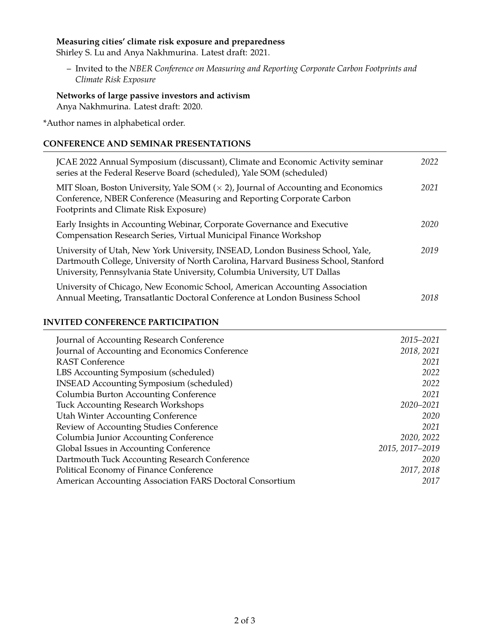## **Measuring cities' climate risk exposure and preparedness**

Shirley S. Lu and Anya Nakhmurina. Latest draft: 2021.

– Invited to the *NBER Conference on Measuring and Reporting Corporate Carbon Footprints and Climate Risk Exposure*

**Networks of large passive investors and activism** Anya Nakhmurina. Latest draft: 2020.

\*Author names in alphabetical order.

### **CONFERENCE AND SEMINAR PRESENTATIONS**

| JCAE 2022 Annual Symposium (discussant), Climate and Economic Activity seminar<br>series at the Federal Reserve Board (scheduled), Yale SOM (scheduled)                                                                                           | 2022 |
|---------------------------------------------------------------------------------------------------------------------------------------------------------------------------------------------------------------------------------------------------|------|
| MIT Sloan, Boston University, Yale SOM $(\times 2)$ , Journal of Accounting and Economics<br>Conference, NBER Conference (Measuring and Reporting Corporate Carbon<br>Footprints and Climate Risk Exposure)                                       | 2021 |
| Early Insights in Accounting Webinar, Corporate Governance and Executive<br>Compensation Research Series, Virtual Municipal Finance Workshop                                                                                                      | 2020 |
| University of Utah, New York University, INSEAD, London Business School, Yale,<br>Dartmouth College, University of North Carolina, Harvard Business School, Stanford<br>University, Pennsylvania State University, Columbia University, UT Dallas | 2019 |
| University of Chicago, New Economic School, American Accounting Association<br>Annual Meeting, Transatlantic Doctoral Conference at London Business School                                                                                        | 2018 |

## **INVITED CONFERENCE PARTICIPATION**

| Journal of Accounting Research Conference                | 2015–2021       |
|----------------------------------------------------------|-----------------|
| Journal of Accounting and Economics Conference           | 2018, 2021      |
| <b>RAST Conference</b>                                   | 2021            |
| LBS Accounting Symposium (scheduled)                     | 2022            |
| <b>INSEAD Accounting Symposium (scheduled)</b>           | 2022            |
| Columbia Burton Accounting Conference                    | 2021            |
| <b>Tuck Accounting Research Workshops</b>                | 2020-2021       |
| <b>Utah Winter Accounting Conference</b>                 | 2020            |
| Review of Accounting Studies Conference                  | 2021            |
| Columbia Junior Accounting Conference                    | 2020, 2022      |
| Global Issues in Accounting Conference                   | 2015, 2017-2019 |
| Dartmouth Tuck Accounting Research Conference            | 2020            |
| Political Economy of Finance Conference                  | 2017, 2018      |
| American Accounting Association FARS Doctoral Consortium | 2017            |